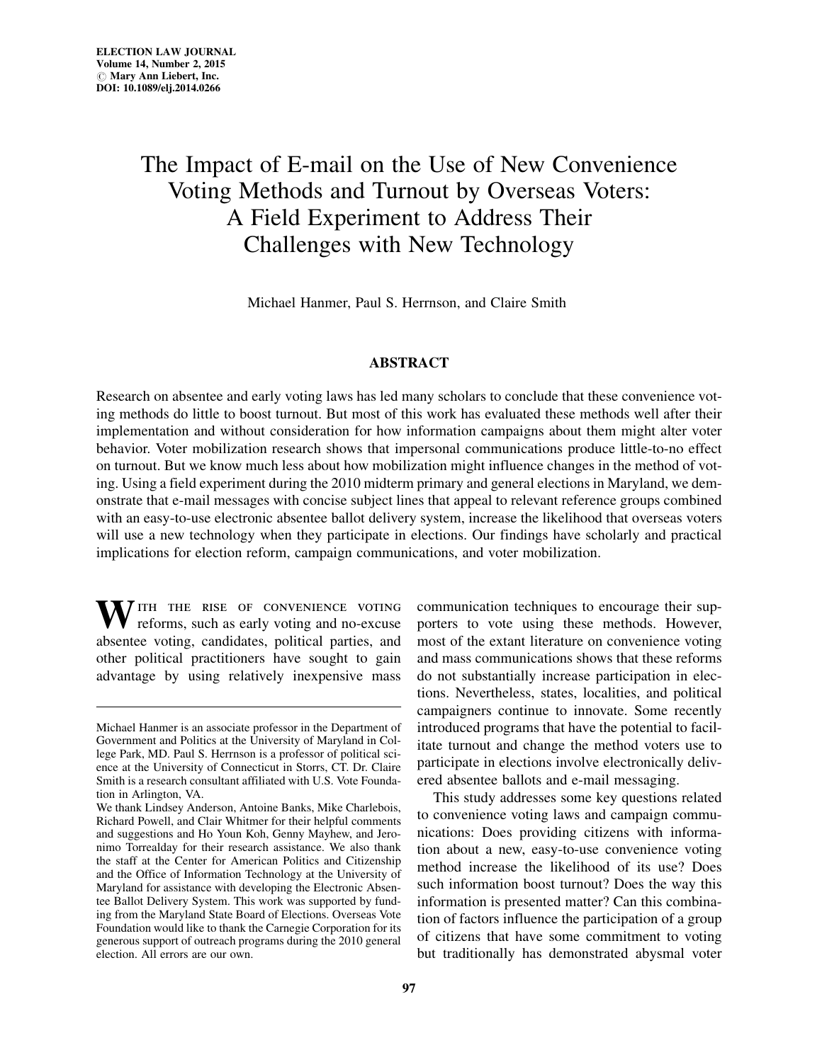# The Impact of E-mail on the Use of New Convenience Voting Methods and Turnout by Overseas Voters: A Field Experiment to Address Their Challenges with New Technology

Michael Hanmer, Paul S. Herrnson, and Claire Smith

### ABSTRACT

Research on absentee and early voting laws has led many scholars to conclude that these convenience voting methods do little to boost turnout. But most of this work has evaluated these methods well after their implementation and without consideration for how information campaigns about them might alter voter behavior. Voter mobilization research shows that impersonal communications produce little-to-no effect on turnout. But we know much less about how mobilization might influence changes in the method of voting. Using a field experiment during the 2010 midterm primary and general elections in Maryland, we demonstrate that e-mail messages with concise subject lines that appeal to relevant reference groups combined with an easy-to-use electronic absentee ballot delivery system, increase the likelihood that overseas voters will use a new technology when they participate in elections. Our findings have scholarly and practical implications for election reform, campaign communications, and voter mobilization.

 $\boldsymbol{W}$  ith the rise of convenience voting reforms, such as early voting and no-excuse absentee voting, candidates, political parties, and other political practitioners have sought to gain advantage by using relatively inexpensive mass

communication techniques to encourage their supporters to vote using these methods. However, most of the extant literature on convenience voting and mass communications shows that these reforms do not substantially increase participation in elections. Nevertheless, states, localities, and political campaigners continue to innovate. Some recently introduced programs that have the potential to facilitate turnout and change the method voters use to participate in elections involve electronically delivered absentee ballots and e-mail messaging.

This study addresses some key questions related to convenience voting laws and campaign communications: Does providing citizens with information about a new, easy-to-use convenience voting method increase the likelihood of its use? Does such information boost turnout? Does the way this information is presented matter? Can this combination of factors influence the participation of a group of citizens that have some commitment to voting but traditionally has demonstrated abysmal voter

Michael Hanmer is an associate professor in the Department of Government and Politics at the University of Maryland in College Park, MD. Paul S. Herrnson is a professor of political science at the University of Connecticut in Storrs, CT. Dr. Claire Smith is a research consultant affiliated with U.S. Vote Foundation in Arlington, VA.

We thank Lindsey Anderson, Antoine Banks, Mike Charlebois, Richard Powell, and Clair Whitmer for their helpful comments and suggestions and Ho Youn Koh, Genny Mayhew, and Jeronimo Torrealday for their research assistance. We also thank the staff at the Center for American Politics and Citizenship and the Office of Information Technology at the University of Maryland for assistance with developing the Electronic Absentee Ballot Delivery System. This work was supported by funding from the Maryland State Board of Elections. Overseas Vote Foundation would like to thank the Carnegie Corporation for its generous support of outreach programs during the 2010 general election. All errors are our own.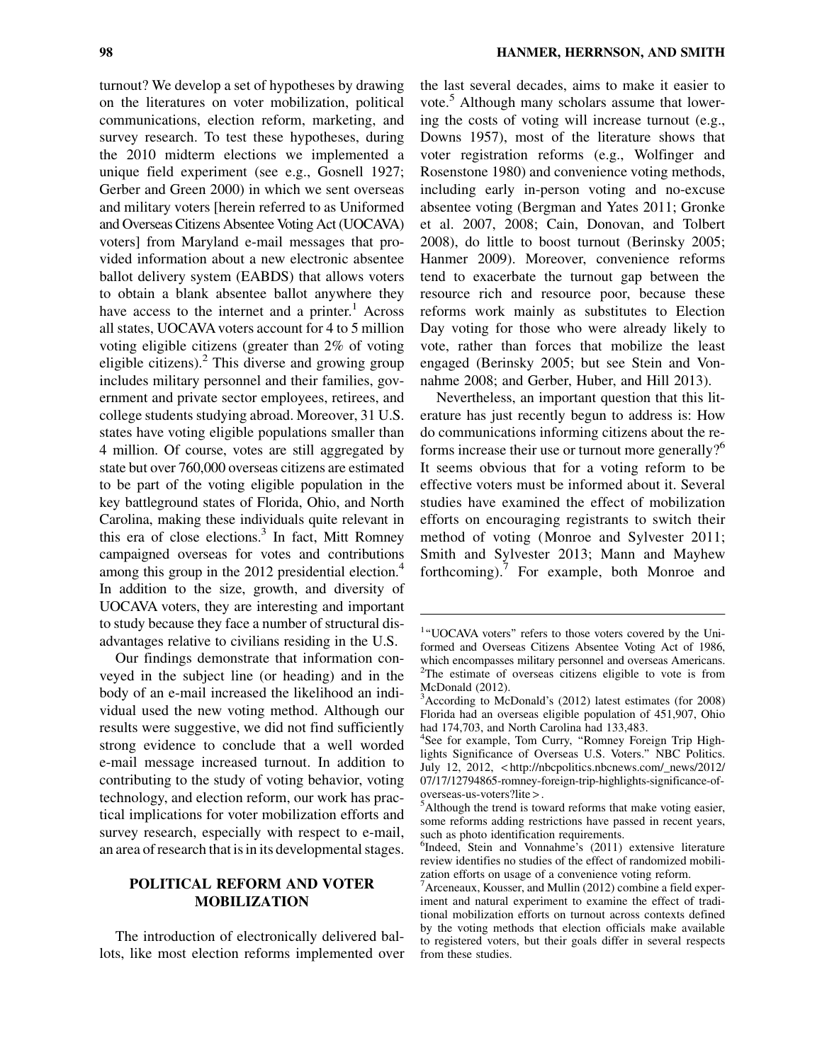turnout? We develop a set of hypotheses by drawing on the literatures on voter mobilization, political communications, election reform, marketing, and survey research. To test these hypotheses, during the 2010 midterm elections we implemented a unique field experiment (see e.g., Gosnell 1927; Gerber and Green 2000) in which we sent overseas and military voters [herein referred to as Uniformed and Overseas Citizens Absentee Voting Act (UOCAVA) voters] from Maryland e-mail messages that provided information about a new electronic absentee ballot delivery system (EABDS) that allows voters to obtain a blank absentee ballot anywhere they have access to the internet and a printer.<sup>1</sup> Across all states, UOCAVA voters account for 4 to 5 million voting eligible citizens (greater than 2% of voting eligible citizens). $^2$  This diverse and growing group includes military personnel and their families, government and private sector employees, retirees, and college students studying abroad. Moreover, 31 U.S. states have voting eligible populations smaller than 4 million. Of course, votes are still aggregated by state but over 760,000 overseas citizens are estimated to be part of the voting eligible population in the key battleground states of Florida, Ohio, and North Carolina, making these individuals quite relevant in this era of close elections.<sup>3</sup> In fact, Mitt Romney campaigned overseas for votes and contributions among this group in the 2012 presidential election.<sup>4</sup> In addition to the size, growth, and diversity of UOCAVA voters, they are interesting and important to study because they face a number of structural disadvantages relative to civilians residing in the U.S.

Our findings demonstrate that information conveyed in the subject line (or heading) and in the body of an e-mail increased the likelihood an individual used the new voting method. Although our results were suggestive, we did not find sufficiently strong evidence to conclude that a well worded e-mail message increased turnout. In addition to contributing to the study of voting behavior, voting technology, and election reform, our work has practical implications for voter mobilization efforts and survey research, especially with respect to e-mail, an area of research that is in its developmental stages.

## POLITICAL REFORM AND VOTER MOBILIZATION

The introduction of electronically delivered ballots, like most election reforms implemented over the last several decades, aims to make it easier to vote.<sup>5</sup> Although many scholars assume that lowering the costs of voting will increase turnout (e.g., Downs 1957), most of the literature shows that voter registration reforms (e.g., Wolfinger and Rosenstone 1980) and convenience voting methods, including early in-person voting and no-excuse absentee voting (Bergman and Yates 2011; Gronke et al. 2007, 2008; Cain, Donovan, and Tolbert 2008), do little to boost turnout (Berinsky 2005; Hanmer 2009). Moreover, convenience reforms tend to exacerbate the turnout gap between the resource rich and resource poor, because these reforms work mainly as substitutes to Election Day voting for those who were already likely to vote, rather than forces that mobilize the least engaged (Berinsky 2005; but see Stein and Vonnahme 2008; and Gerber, Huber, and Hill 2013).

Nevertheless, an important question that this literature has just recently begun to address is: How do communications informing citizens about the reforms increase their use or turnout more generally?<sup>6</sup> It seems obvious that for a voting reform to be effective voters must be informed about it. Several studies have examined the effect of mobilization efforts on encouraging registrants to switch their method of voting (Monroe and Sylvester 2011; Smith and Sylvester 2013; Mann and Mayhew forthcoming).<sup>7</sup> For example, both Monroe and

<sup>&</sup>lt;sup>1</sup>"UOCAVA voters" refers to those voters covered by the Uniformed and Overseas Citizens Absentee Voting Act of 1986, which encompasses military personnel and overseas Americans. <sup>2</sup>The estimate of overseas citizens eligible to vote is from McDonald (2012).

<sup>&</sup>lt;sup>3</sup>According to McDonald's (2012) latest estimates (for 2008) Florida had an overseas eligible population of 451,907, Ohio had 174,703, and North Carolina had 133,483.

<sup>&</sup>lt;sup>4</sup>See for example, Tom Curry, "Romney Foreign Trip Highlights Significance of Overseas U.S. Voters.'' NBC Politics. July 12, 2012, < http://nbcpolitics.nbcnews.com/\_news/2012/ 07/17/12794865-romney-foreign-trip-highlights-significance-ofoverseas-us-voters?lite >.

Although the trend is toward reforms that make voting easier, some reforms adding restrictions have passed in recent years, such as photo identification requirements.

<sup>&</sup>lt;sup>6</sup>Indeed, Stein and Vonnahme's (2011) extensive literature review identifies no studies of the effect of randomized mobilization efforts on usage of a convenience voting reform.

<sup>7</sup> Arceneaux, Kousser, and Mullin (2012) combine a field experiment and natural experiment to examine the effect of traditional mobilization efforts on turnout across contexts defined by the voting methods that election officials make available to registered voters, but their goals differ in several respects from these studies.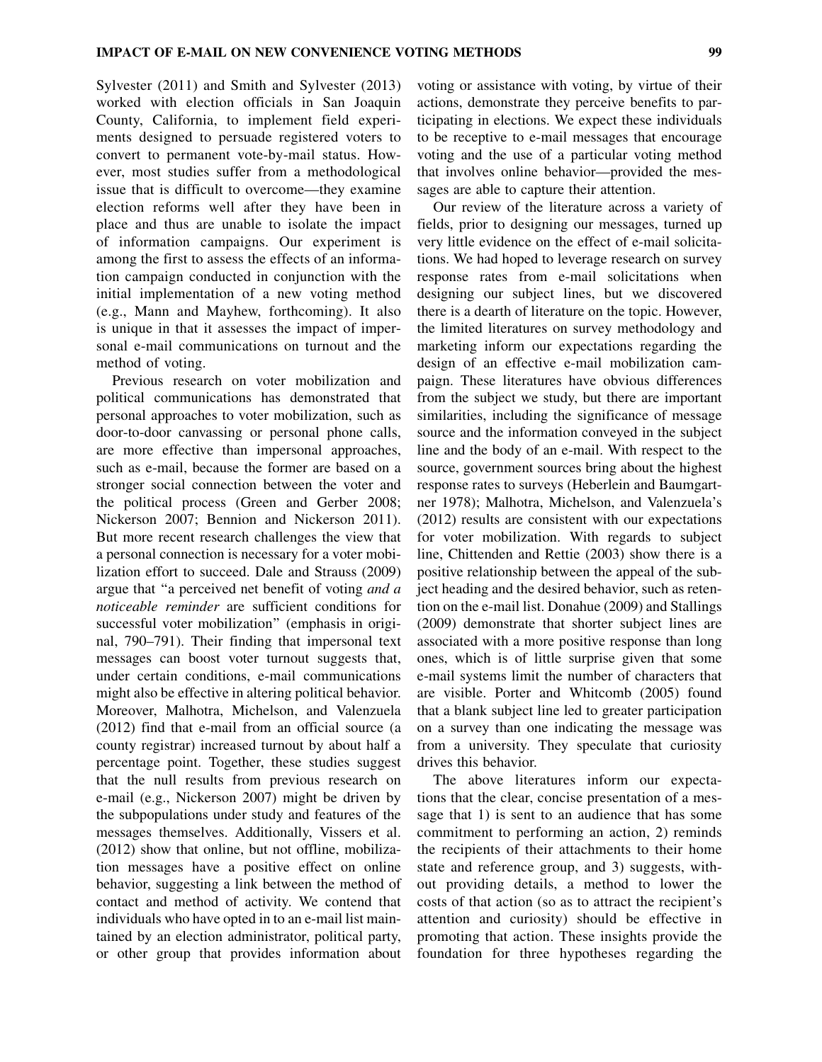Sylvester (2011) and Smith and Sylvester (2013) worked with election officials in San Joaquin County, California, to implement field experiments designed to persuade registered voters to convert to permanent vote-by-mail status. However, most studies suffer from a methodological issue that is difficult to overcome—they examine election reforms well after they have been in place and thus are unable to isolate the impact of information campaigns. Our experiment is among the first to assess the effects of an information campaign conducted in conjunction with the initial implementation of a new voting method (e.g., Mann and Mayhew, forthcoming). It also is unique in that it assesses the impact of impersonal e-mail communications on turnout and the method of voting.

Previous research on voter mobilization and political communications has demonstrated that personal approaches to voter mobilization, such as door-to-door canvassing or personal phone calls, are more effective than impersonal approaches, such as e-mail, because the former are based on a stronger social connection between the voter and the political process (Green and Gerber 2008; Nickerson 2007; Bennion and Nickerson 2011). But more recent research challenges the view that a personal connection is necessary for a voter mobilization effort to succeed. Dale and Strauss (2009) argue that ''a perceived net benefit of voting and a noticeable reminder are sufficient conditions for successful voter mobilization'' (emphasis in original, 790–791). Their finding that impersonal text messages can boost voter turnout suggests that, under certain conditions, e-mail communications might also be effective in altering political behavior. Moreover, Malhotra, Michelson, and Valenzuela (2012) find that e-mail from an official source (a county registrar) increased turnout by about half a percentage point. Together, these studies suggest that the null results from previous research on e-mail (e.g., Nickerson 2007) might be driven by the subpopulations under study and features of the messages themselves. Additionally, Vissers et al. (2012) show that online, but not offline, mobilization messages have a positive effect on online behavior, suggesting a link between the method of contact and method of activity. We contend that individuals who have opted in to an e-mail list maintained by an election administrator, political party, or other group that provides information about voting or assistance with voting, by virtue of their actions, demonstrate they perceive benefits to participating in elections. We expect these individuals to be receptive to e-mail messages that encourage voting and the use of a particular voting method that involves online behavior—provided the messages are able to capture their attention.

Our review of the literature across a variety of fields, prior to designing our messages, turned up very little evidence on the effect of e-mail solicitations. We had hoped to leverage research on survey response rates from e-mail solicitations when designing our subject lines, but we discovered there is a dearth of literature on the topic. However, the limited literatures on survey methodology and marketing inform our expectations regarding the design of an effective e-mail mobilization campaign. These literatures have obvious differences from the subject we study, but there are important similarities, including the significance of message source and the information conveyed in the subject line and the body of an e-mail. With respect to the source, government sources bring about the highest response rates to surveys (Heberlein and Baumgartner 1978); Malhotra, Michelson, and Valenzuela's (2012) results are consistent with our expectations for voter mobilization. With regards to subject line, Chittenden and Rettie (2003) show there is a positive relationship between the appeal of the subject heading and the desired behavior, such as retention on the e-mail list. Donahue (2009) and Stallings (2009) demonstrate that shorter subject lines are associated with a more positive response than long ones, which is of little surprise given that some e-mail systems limit the number of characters that are visible. Porter and Whitcomb (2005) found that a blank subject line led to greater participation on a survey than one indicating the message was from a university. They speculate that curiosity drives this behavior.

The above literatures inform our expectations that the clear, concise presentation of a message that 1) is sent to an audience that has some commitment to performing an action, 2) reminds the recipients of their attachments to their home state and reference group, and 3) suggests, without providing details, a method to lower the costs of that action (so as to attract the recipient's attention and curiosity) should be effective in promoting that action. These insights provide the foundation for three hypotheses regarding the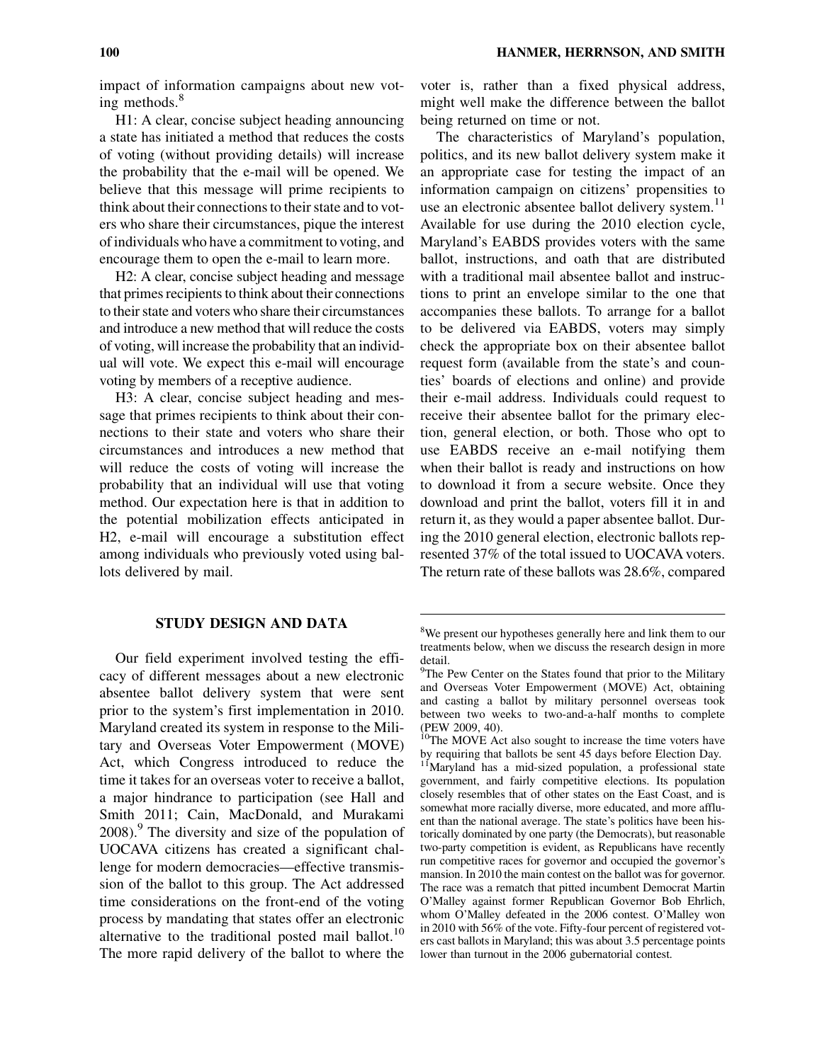impact of information campaigns about new voting methods.<sup>8</sup>

H1: A clear, concise subject heading announcing a state has initiated a method that reduces the costs of voting (without providing details) will increase the probability that the e-mail will be opened. We believe that this message will prime recipients to think about their connections to their state and to voters who share their circumstances, pique the interest of individuals who have a commitment to voting, and encourage them to open the e-mail to learn more.

H2: A clear, concise subject heading and message that primes recipients to think about their connections to their state and voters who share their circumstances and introduce a new method that will reduce the costs of voting, will increase the probability that an individual will vote. We expect this e-mail will encourage voting by members of a receptive audience.

H3: A clear, concise subject heading and message that primes recipients to think about their connections to their state and voters who share their circumstances and introduces a new method that will reduce the costs of voting will increase the probability that an individual will use that voting method. Our expectation here is that in addition to the potential mobilization effects anticipated in H2, e-mail will encourage a substitution effect among individuals who previously voted using ballots delivered by mail.

#### STUDY DESIGN AND DATA

Our field experiment involved testing the efficacy of different messages about a new electronic absentee ballot delivery system that were sent prior to the system's first implementation in 2010. Maryland created its system in response to the Military and Overseas Voter Empowerment (MOVE) Act, which Congress introduced to reduce the time it takes for an overseas voter to receive a ballot, a major hindrance to participation (see Hall and Smith 2011; Cain, MacDonald, and Murakami  $2008$ ). $9$  The diversity and size of the population of UOCAVA citizens has created a significant challenge for modern democracies—effective transmission of the ballot to this group. The Act addressed time considerations on the front-end of the voting process by mandating that states offer an electronic alternative to the traditional posted mail ballot.<sup>10</sup> The more rapid delivery of the ballot to where the voter is, rather than a fixed physical address, might well make the difference between the ballot being returned on time or not.

The characteristics of Maryland's population, politics, and its new ballot delivery system make it an appropriate case for testing the impact of an information campaign on citizens' propensities to use an electronic absentee ballot delivery system.<sup>11</sup> Available for use during the 2010 election cycle, Maryland's EABDS provides voters with the same ballot, instructions, and oath that are distributed with a traditional mail absentee ballot and instructions to print an envelope similar to the one that accompanies these ballots. To arrange for a ballot to be delivered via EABDS, voters may simply check the appropriate box on their absentee ballot request form (available from the state's and counties' boards of elections and online) and provide their e-mail address. Individuals could request to receive their absentee ballot for the primary election, general election, or both. Those who opt to use EABDS receive an e-mail notifying them when their ballot is ready and instructions on how to download it from a secure website. Once they download and print the ballot, voters fill it in and return it, as they would a paper absentee ballot. During the 2010 general election, electronic ballots represented 37% of the total issued to UOCAVA voters. The return rate of these ballots was 28.6%, compared

<sup>&</sup>lt;sup>8</sup>We present our hypotheses generally here and link them to our treatments below, when we discuss the research design in more detail.

<sup>&</sup>lt;sup>9</sup>The Pew Center on the States found that prior to the Military and Overseas Voter Empowerment (MOVE) Act, obtaining and casting a ballot by military personnel overseas took between two weeks to two-and-a-half months to complete (PEW 2009, 40).

<sup>&</sup>lt;sup>10</sup>The MOVE Act also sought to increase the time voters have by requiring that ballots be sent 45 days before Election Day. <sup>11</sup>Maryland has a mid-sized population, a professional state government, and fairly competitive elections. Its population closely resembles that of other states on the East Coast, and is somewhat more racially diverse, more educated, and more affluent than the national average. The state's politics have been historically dominated by one party (the Democrats), but reasonable two-party competition is evident, as Republicans have recently run competitive races for governor and occupied the governor's mansion. In 2010 the main contest on the ballot was for governor. The race was a rematch that pitted incumbent Democrat Martin O'Malley against former Republican Governor Bob Ehrlich, whom O'Malley defeated in the 2006 contest. O'Malley won in 2010 with 56% of the vote. Fifty-four percent of registered voters cast ballots in Maryland; this was about 3.5 percentage points lower than turnout in the 2006 gubernatorial contest.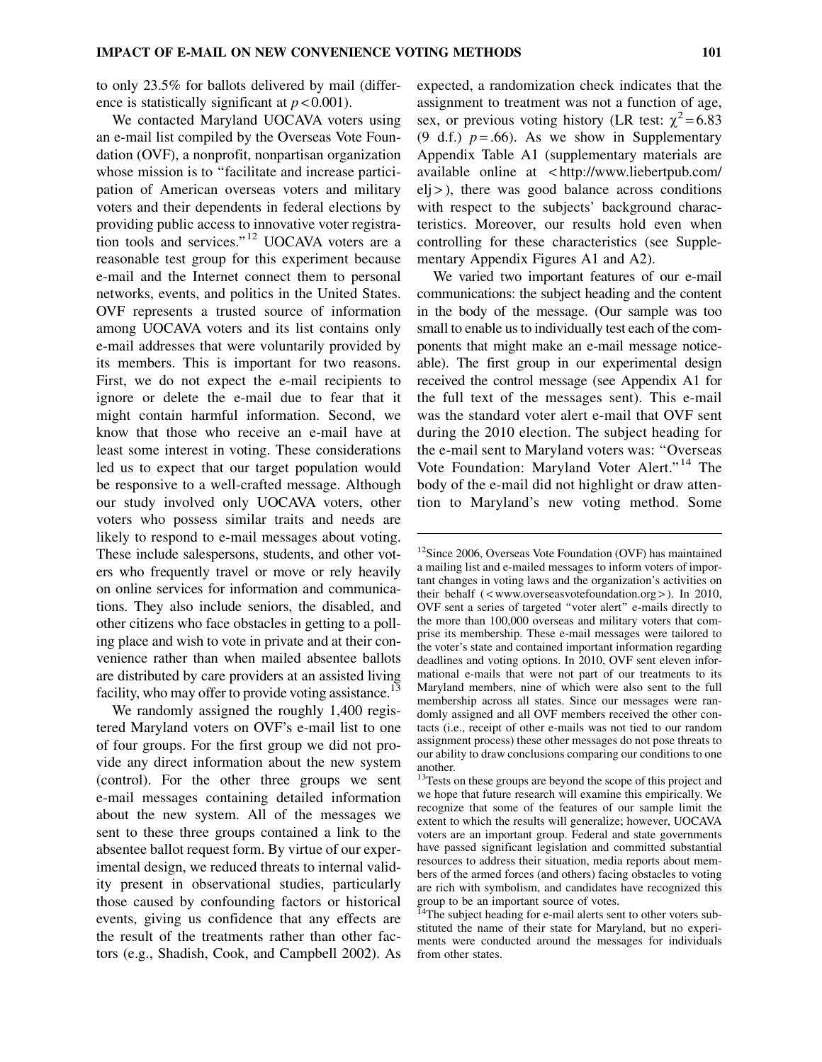to only 23.5% for ballots delivered by mail (difference is statistically significant at  $p < 0.001$ ).

We contacted Maryland UOCAVA voters using an e-mail list compiled by the Overseas Vote Foundation (OVF), a nonprofit, nonpartisan organization whose mission is to "facilitate and increase participation of American overseas voters and military voters and their dependents in federal elections by providing public access to innovative voter registration tools and services.''<sup>12</sup> UOCAVA voters are a reasonable test group for this experiment because e-mail and the Internet connect them to personal networks, events, and politics in the United States. OVF represents a trusted source of information among UOCAVA voters and its list contains only e-mail addresses that were voluntarily provided by its members. This is important for two reasons. First, we do not expect the e-mail recipients to ignore or delete the e-mail due to fear that it might contain harmful information. Second, we know that those who receive an e-mail have at least some interest in voting. These considerations led us to expect that our target population would be responsive to a well-crafted message. Although our study involved only UOCAVA voters, other voters who possess similar traits and needs are likely to respond to e-mail messages about voting. These include salespersons, students, and other voters who frequently travel or move or rely heavily on online services for information and communications. They also include seniors, the disabled, and other citizens who face obstacles in getting to a polling place and wish to vote in private and at their convenience rather than when mailed absentee ballots are distributed by care providers at an assisted living facility, who may offer to provide voting assistance.<sup>13</sup>

We randomly assigned the roughly 1,400 registered Maryland voters on OVF's e-mail list to one of four groups. For the first group we did not provide any direct information about the new system (control). For the other three groups we sent e-mail messages containing detailed information about the new system. All of the messages we sent to these three groups contained a link to the absentee ballot request form. By virtue of our experimental design, we reduced threats to internal validity present in observational studies, particularly those caused by confounding factors or historical events, giving us confidence that any effects are the result of the treatments rather than other factors (e.g., Shadish, Cook, and Campbell 2002). As expected, a randomization check indicates that the assignment to treatment was not a function of age, sex, or previous voting history (LR test:  $\chi^2$  = 6.83 (9 d.f.)  $p = .66$ ). As we show in Supplementary Appendix Table A1 (supplementary materials are available online at < http://www.liebertpub.com/  $el$  $\mathbf{i}$  >), there was good balance across conditions with respect to the subjects' background characteristics. Moreover, our results hold even when controlling for these characteristics (see Supplementary Appendix Figures A1 and A2).

We varied two important features of our e-mail communications: the subject heading and the content in the body of the message. (Our sample was too small to enable us to individually test each of the components that might make an e-mail message noticeable). The first group in our experimental design received the control message (see Appendix A1 for the full text of the messages sent). This e-mail was the standard voter alert e-mail that OVF sent during the 2010 election. The subject heading for the e-mail sent to Maryland voters was: ''Overseas Vote Foundation: Maryland Voter Alert.''<sup>14</sup> The body of the e-mail did not highlight or draw attention to Maryland's new voting method. Some

 $12$ Since 2006, Overseas Vote Foundation (OVF) has maintained a mailing list and e-mailed messages to inform voters of important changes in voting laws and the organization's activities on their behalf ( < www.overseasvotefoundation.org > ). In 2010, OVF sent a series of targeted ''voter alert'' e-mails directly to the more than 100,000 overseas and military voters that comprise its membership. These e-mail messages were tailored to the voter's state and contained important information regarding deadlines and voting options. In 2010, OVF sent eleven informational e-mails that were not part of our treatments to its Maryland members, nine of which were also sent to the full membership across all states. Since our messages were randomly assigned and all OVF members received the other contacts (i.e., receipt of other e-mails was not tied to our random assignment process) these other messages do not pose threats to our ability to draw conclusions comparing our conditions to one another.

<sup>&</sup>lt;sup>13</sup>Tests on these groups are beyond the scope of this project and we hope that future research will examine this empirically. We recognize that some of the features of our sample limit the extent to which the results will generalize; however, UOCAVA voters are an important group. Federal and state governments have passed significant legislation and committed substantial resources to address their situation, media reports about members of the armed forces (and others) facing obstacles to voting are rich with symbolism, and candidates have recognized this group to be an important source of votes.

<sup>&</sup>lt;sup>14</sup>The subject heading for e-mail alerts sent to other voters substituted the name of their state for Maryland, but no experiments were conducted around the messages for individuals from other states.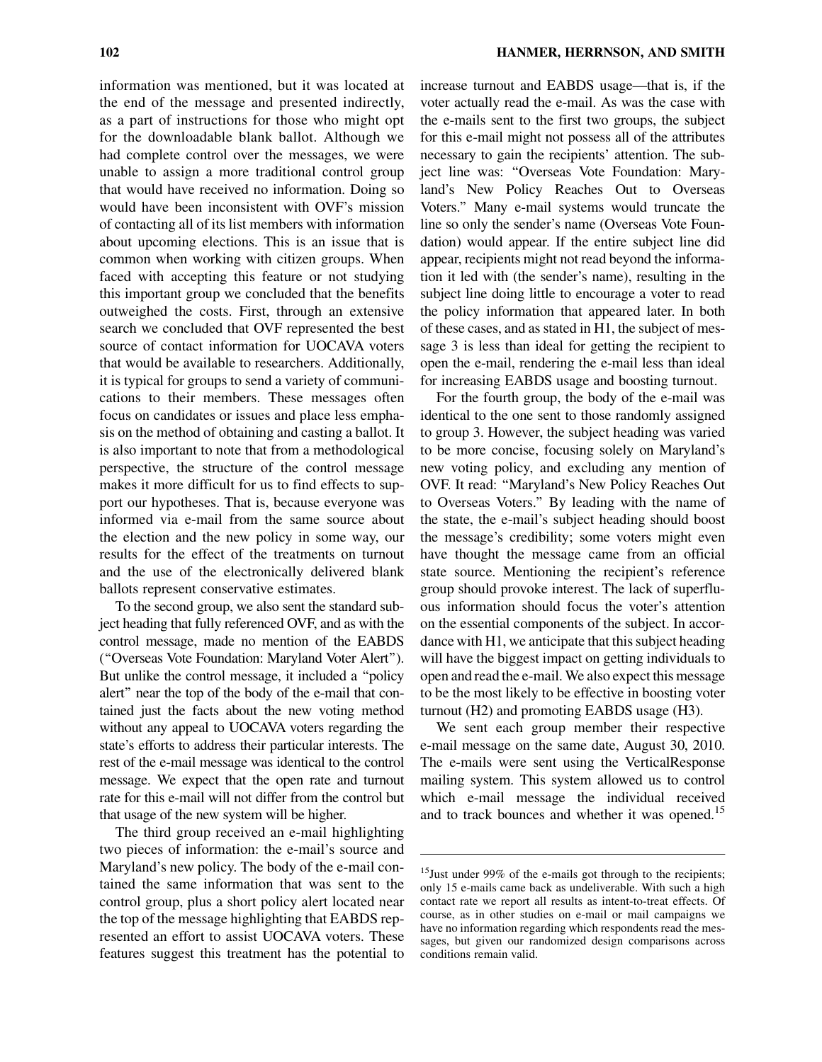information was mentioned, but it was located at the end of the message and presented indirectly, as a part of instructions for those who might opt for the downloadable blank ballot. Although we had complete control over the messages, we were unable to assign a more traditional control group that would have received no information. Doing so would have been inconsistent with OVF's mission of contacting all of its list members with information about upcoming elections. This is an issue that is common when working with citizen groups. When faced with accepting this feature or not studying this important group we concluded that the benefits outweighed the costs. First, through an extensive search we concluded that OVF represented the best source of contact information for UOCAVA voters that would be available to researchers. Additionally, it is typical for groups to send a variety of communications to their members. These messages often focus on candidates or issues and place less emphasis on the method of obtaining and casting a ballot. It is also important to note that from a methodological perspective, the structure of the control message makes it more difficult for us to find effects to support our hypotheses. That is, because everyone was informed via e-mail from the same source about the election and the new policy in some way, our results for the effect of the treatments on turnout and the use of the electronically delivered blank ballots represent conservative estimates.

To the second group, we also sent the standard subject heading that fully referenced OVF, and as with the control message, made no mention of the EABDS (''Overseas Vote Foundation: Maryland Voter Alert''). But unlike the control message, it included a ''policy alert'' near the top of the body of the e-mail that contained just the facts about the new voting method without any appeal to UOCAVA voters regarding the state's efforts to address their particular interests. The rest of the e-mail message was identical to the control message. We expect that the open rate and turnout rate for this e-mail will not differ from the control but that usage of the new system will be higher.

The third group received an e-mail highlighting two pieces of information: the e-mail's source and Maryland's new policy. The body of the e-mail contained the same information that was sent to the control group, plus a short policy alert located near the top of the message highlighting that EABDS represented an effort to assist UOCAVA voters. These features suggest this treatment has the potential to increase turnout and EABDS usage—that is, if the voter actually read the e-mail. As was the case with the e-mails sent to the first two groups, the subject for this e-mail might not possess all of the attributes necessary to gain the recipients' attention. The subject line was: ''Overseas Vote Foundation: Maryland's New Policy Reaches Out to Overseas Voters.'' Many e-mail systems would truncate the line so only the sender's name (Overseas Vote Foundation) would appear. If the entire subject line did appear, recipients might not read beyond the information it led with (the sender's name), resulting in the subject line doing little to encourage a voter to read the policy information that appeared later. In both of these cases, and as stated in H1, the subject of message 3 is less than ideal for getting the recipient to open the e-mail, rendering the e-mail less than ideal for increasing EABDS usage and boosting turnout.

For the fourth group, the body of the e-mail was identical to the one sent to those randomly assigned to group 3. However, the subject heading was varied to be more concise, focusing solely on Maryland's new voting policy, and excluding any mention of OVF. It read: ''Maryland's New Policy Reaches Out to Overseas Voters.'' By leading with the name of the state, the e-mail's subject heading should boost the message's credibility; some voters might even have thought the message came from an official state source. Mentioning the recipient's reference group should provoke interest. The lack of superfluous information should focus the voter's attention on the essential components of the subject. In accordance with H1, we anticipate that this subject heading will have the biggest impact on getting individuals to open and read the e-mail. We also expect this message to be the most likely to be effective in boosting voter turnout (H2) and promoting EABDS usage (H3).

We sent each group member their respective e-mail message on the same date, August 30, 2010. The e-mails were sent using the VerticalResponse mailing system. This system allowed us to control which e-mail message the individual received and to track bounces and whether it was opened.<sup>15</sup>

 $15$  Just under 99% of the e-mails got through to the recipients; only 15 e-mails came back as undeliverable. With such a high contact rate we report all results as intent-to-treat effects. Of course, as in other studies on e-mail or mail campaigns we have no information regarding which respondents read the messages, but given our randomized design comparisons across conditions remain valid.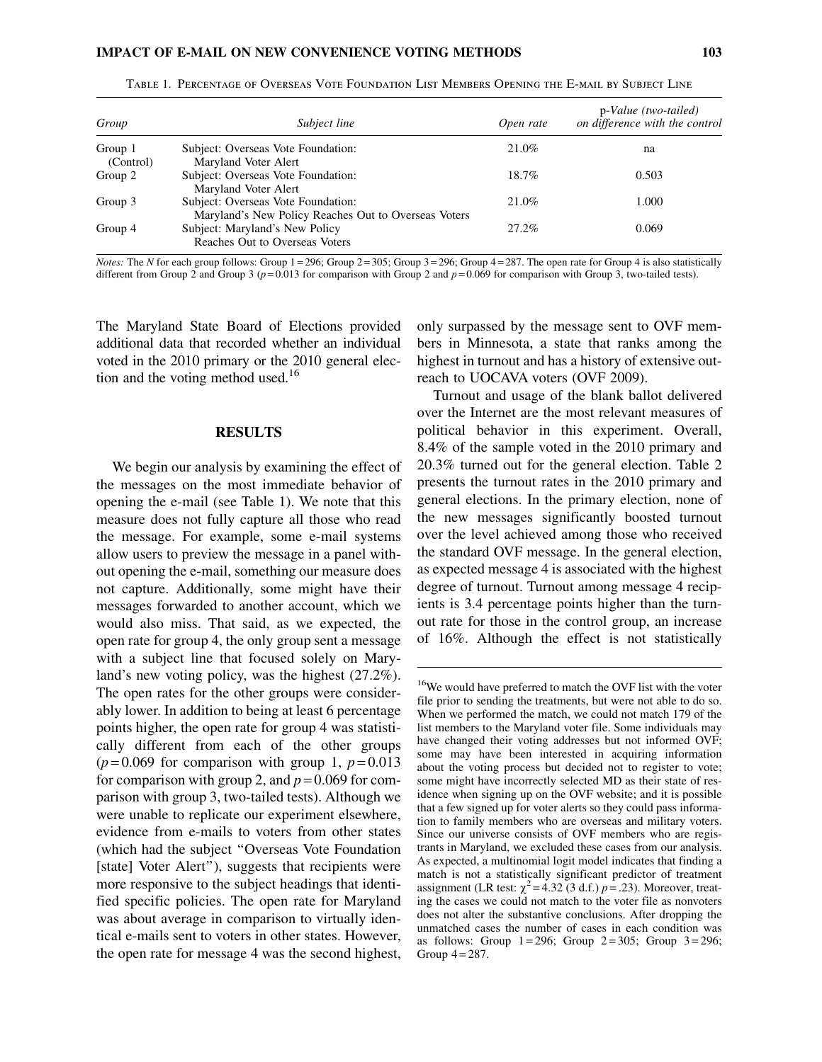#### IMPACT OF E-MAIL ON NEW CONVENIENCE VOTING METHODS 103

| Group                | Subject line                                                                               | Open rate | p-Value (two-tailed)<br>on difference with the control |
|----------------------|--------------------------------------------------------------------------------------------|-----------|--------------------------------------------------------|
| Group 1<br>(Control) | Subject: Overseas Vote Foundation:<br>Maryland Voter Alert                                 | 21.0%     | na                                                     |
| Group 2              | Subject: Overseas Vote Foundation:<br>Maryland Voter Alert                                 | $18.7\%$  | 0.503                                                  |
| Group 3              | Subject: Overseas Vote Foundation:<br>Maryland's New Policy Reaches Out to Overseas Voters | 21.0%     | 1.000                                                  |
| Group 4              | Subject: Maryland's New Policy<br>Reaches Out to Overseas Voters                           | 27.2%     | 0.069                                                  |

Table 1. Percentage of Overseas Vote Foundation List Members Opening the E-mail by Subject Line

*Notes:* The N for each group follows: Group  $1 = 296$ ; Group  $2 = 305$ ; Group  $3 = 296$ ; Group  $4 = 287$ . The open rate for Group 4 is also statistically different from Group 2 and Group 3 ( $p = 0.013$  for comparison with Group 2 and  $p = 0.069$  for comparison with Group 3, two-tailed tests).

The Maryland State Board of Elections provided additional data that recorded whether an individual voted in the 2010 primary or the 2010 general election and the voting method used.<sup>16</sup>

#### **RESULTS**

We begin our analysis by examining the effect of the messages on the most immediate behavior of opening the e-mail (see Table 1). We note that this measure does not fully capture all those who read the message. For example, some e-mail systems allow users to preview the message in a panel without opening the e-mail, something our measure does not capture. Additionally, some might have their messages forwarded to another account, which we would also miss. That said, as we expected, the open rate for group 4, the only group sent a message with a subject line that focused solely on Maryland's new voting policy, was the highest (27.2%). The open rates for the other groups were considerably lower. In addition to being at least 6 percentage points higher, the open rate for group 4 was statistically different from each of the other groups  $(p=0.069$  for comparison with group 1,  $p=0.013$ for comparison with group 2, and  $p = 0.069$  for comparison with group 3, two-tailed tests). Although we were unable to replicate our experiment elsewhere, evidence from e-mails to voters from other states (which had the subject ''Overseas Vote Foundation [state] Voter Alert''), suggests that recipients were more responsive to the subject headings that identified specific policies. The open rate for Maryland was about average in comparison to virtually identical e-mails sent to voters in other states. However, the open rate for message 4 was the second highest, only surpassed by the message sent to OVF members in Minnesota, a state that ranks among the highest in turnout and has a history of extensive outreach to UOCAVA voters (OVF 2009).

Turnout and usage of the blank ballot delivered over the Internet are the most relevant measures of political behavior in this experiment. Overall, 8.4% of the sample voted in the 2010 primary and 20.3% turned out for the general election. Table 2 presents the turnout rates in the 2010 primary and general elections. In the primary election, none of the new messages significantly boosted turnout over the level achieved among those who received the standard OVF message. In the general election, as expected message 4 is associated with the highest degree of turnout. Turnout among message 4 recipients is 3.4 percentage points higher than the turnout rate for those in the control group, an increase of 16%. Although the effect is not statistically

<sup>&</sup>lt;sup>16</sup>We would have preferred to match the OVF list with the voter file prior to sending the treatments, but were not able to do so. When we performed the match, we could not match 179 of the list members to the Maryland voter file. Some individuals may have changed their voting addresses but not informed OVF; some may have been interested in acquiring information about the voting process but decided not to register to vote; some might have incorrectly selected MD as their state of residence when signing up on the OVF website; and it is possible that a few signed up for voter alerts so they could pass information to family members who are overseas and military voters. Since our universe consists of OVF members who are registrants in Maryland, we excluded these cases from our analysis. As expected, a multinomial logit model indicates that finding a match is not a statistically significant predictor of treatment assignment (LR test:  $\chi^2$  = 4.32 (3 d.f.) p = .23). Moreover, treating the cases we could not match to the voter file as nonvoters does not alter the substantive conclusions. After dropping the unmatched cases the number of cases in each condition was as follows: Group  $1 = 296$ ; Group  $2 = 305$ ; Group  $3 = 296$ ; Group  $4 = 287$ .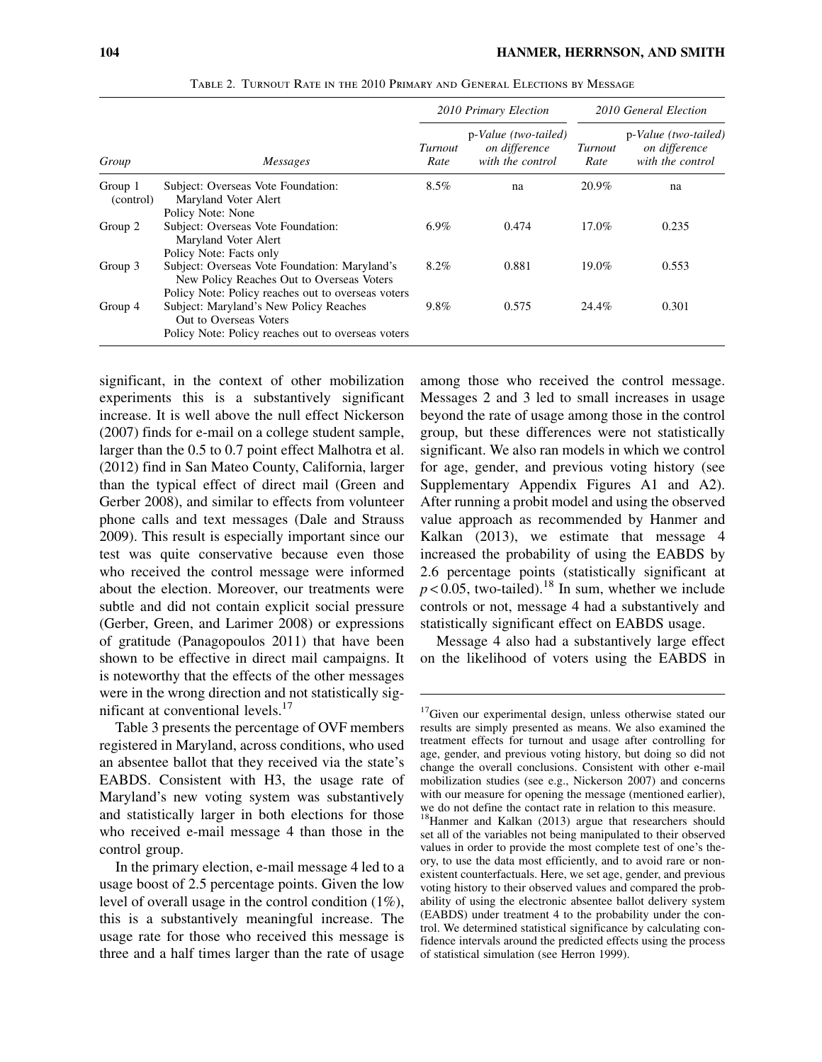| Group                | <i>Messages</i>                                                                                                                                  | 2010 Primary Election |                                                           | 2010 General Election |                                                           |
|----------------------|--------------------------------------------------------------------------------------------------------------------------------------------------|-----------------------|-----------------------------------------------------------|-----------------------|-----------------------------------------------------------|
|                      |                                                                                                                                                  | Turnout<br>Rate       | p-Value (two-tailed)<br>on difference<br>with the control | Turnout<br>Rate       | p-Value (two-tailed)<br>on difference<br>with the control |
| Group 1<br>(control) | Subject: Overseas Vote Foundation:<br>Maryland Voter Alert<br>Policy Note: None                                                                  | $8.5\%$               | na                                                        | 20.9%                 | na                                                        |
| Group 2              | Subject: Overseas Vote Foundation:<br>Maryland Voter Alert<br>Policy Note: Facts only                                                            | $6.9\%$               | 0.474                                                     | $17.0\%$              | 0.235                                                     |
| Group 3              | Subject: Overseas Vote Foundation: Maryland's<br>New Policy Reaches Out to Overseas Voters<br>Policy Note: Policy reaches out to overseas voters | $8.2\%$               | 0.881                                                     | $19.0\%$              | 0.553                                                     |
| Group 4              | Subject: Maryland's New Policy Reaches<br>Out to Overseas Voters<br>Policy Note: Policy reaches out to overseas voters                           | 9.8%                  | 0.575                                                     | 24.4%                 | 0.301                                                     |

Table 2. Turnout Rate in the 2010 Primary and General Elections by Message

significant, in the context of other mobilization experiments this is a substantively significant increase. It is well above the null effect Nickerson (2007) finds for e-mail on a college student sample, larger than the 0.5 to 0.7 point effect Malhotra et al. (2012) find in San Mateo County, California, larger than the typical effect of direct mail (Green and Gerber 2008), and similar to effects from volunteer phone calls and text messages (Dale and Strauss 2009). This result is especially important since our test was quite conservative because even those who received the control message were informed about the election. Moreover, our treatments were subtle and did not contain explicit social pressure (Gerber, Green, and Larimer 2008) or expressions of gratitude (Panagopoulos 2011) that have been shown to be effective in direct mail campaigns. It is noteworthy that the effects of the other messages were in the wrong direction and not statistically significant at conventional levels.<sup>17</sup>

Table 3 presents the percentage of OVF members registered in Maryland, across conditions, who used an absentee ballot that they received via the state's EABDS. Consistent with H3, the usage rate of Maryland's new voting system was substantively and statistically larger in both elections for those who received e-mail message 4 than those in the control group.

In the primary election, e-mail message 4 led to a usage boost of 2.5 percentage points. Given the low level of overall usage in the control condition (1%), this is a substantively meaningful increase. The usage rate for those who received this message is three and a half times larger than the rate of usage among those who received the control message. Messages 2 and 3 led to small increases in usage beyond the rate of usage among those in the control group, but these differences were not statistically significant. We also ran models in which we control for age, gender, and previous voting history (see Supplementary Appendix Figures A1 and A2). After running a probit model and using the observed value approach as recommended by Hanmer and Kalkan (2013), we estimate that message 4 increased the probability of using the EABDS by 2.6 percentage points (statistically significant at  $p < 0.05$ , two-tailed).<sup>18</sup> In sum, whether we include controls or not, message 4 had a substantively and statistically significant effect on EABDS usage.

Message 4 also had a substantively large effect on the likelihood of voters using the EABDS in

<sup>&</sup>lt;sup>17</sup>Given our experimental design, unless otherwise stated our results are simply presented as means. We also examined the treatment effects for turnout and usage after controlling for age, gender, and previous voting history, but doing so did not change the overall conclusions. Consistent with other e-mail mobilization studies (see e.g., Nickerson 2007) and concerns with our measure for opening the message (mentioned earlier), we do not define the contact rate in relation to this measure.

<sup>18</sup>Hanmer and Kalkan (2013) argue that researchers should set all of the variables not being manipulated to their observed values in order to provide the most complete test of one's theory, to use the data most efficiently, and to avoid rare or nonexistent counterfactuals. Here, we set age, gender, and previous voting history to their observed values and compared the probability of using the electronic absentee ballot delivery system (EABDS) under treatment 4 to the probability under the control. We determined statistical significance by calculating confidence intervals around the predicted effects using the process of statistical simulation (see Herron 1999).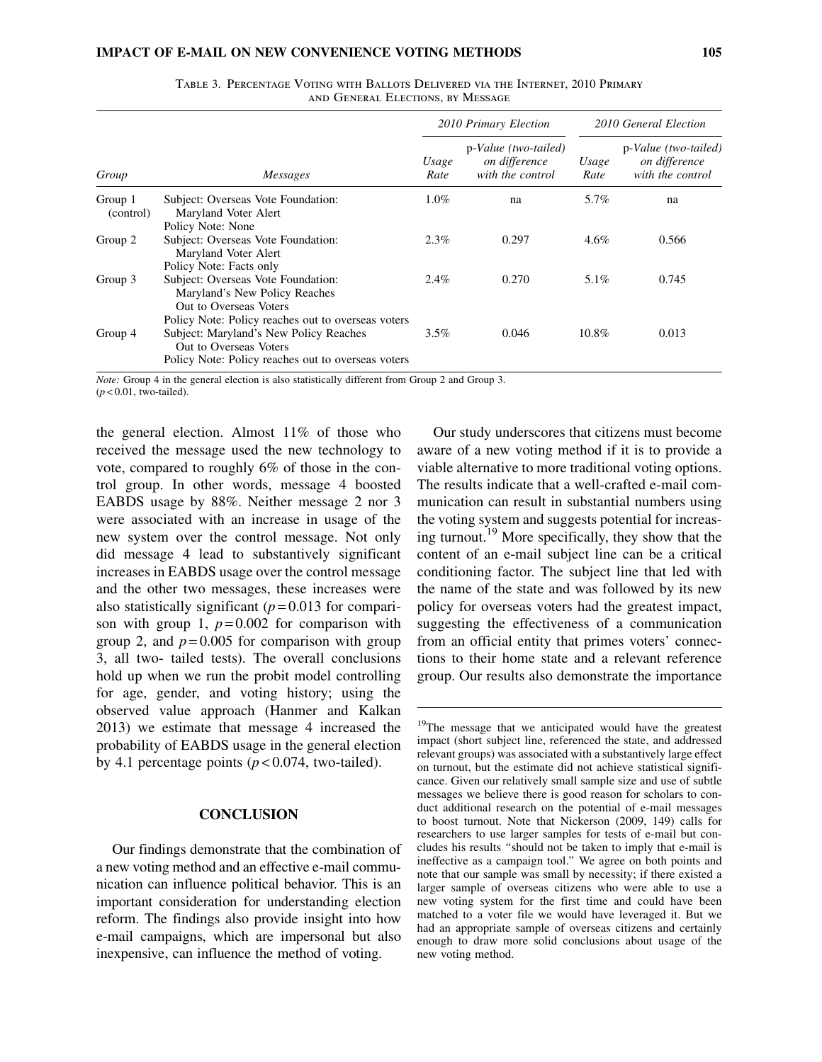| Group                | <i>Messages</i>                                                                                                                                                              | 2010 Primary Election |                                                           | 2010 General Election |                                                           |
|----------------------|------------------------------------------------------------------------------------------------------------------------------------------------------------------------------|-----------------------|-----------------------------------------------------------|-----------------------|-----------------------------------------------------------|
|                      |                                                                                                                                                                              | Usage<br>Rate         | p-Value (two-tailed)<br>on difference<br>with the control | Usage<br>Rate         | p-Value (two-tailed)<br>on difference<br>with the control |
| Group 1<br>(control) | Subject: Overseas Vote Foundation:<br>Maryland Voter Alert<br>Policy Note: None                                                                                              | $1.0\%$               | na                                                        | 5.7%                  | na                                                        |
| Group 2              | Subject: Overseas Vote Foundation:<br>Maryland Voter Alert<br>Policy Note: Facts only                                                                                        | $2.3\%$               | 0.297                                                     | $4.6\%$               | 0.566                                                     |
| Group 3              | Subject: Overseas Vote Foundation:<br>Maryland's New Policy Reaches<br>Out to Overseas Voters                                                                                | 2.4%                  | 0.270                                                     | 5.1%                  | 0.745                                                     |
| Group 4              | Policy Note: Policy reaches out to overseas voters<br>Subject: Maryland's New Policy Reaches<br>Out to Overseas Voters<br>Policy Note: Policy reaches out to overseas voters | $3.5\%$               | 0.046                                                     | $10.8\%$              | 0.013                                                     |

Table 3. Percentage Voting with Ballots Delivered via the Internet, 2010 Primary and General Elections, by Message

Note: Group 4 in the general election is also statistically different from Group 2 and Group 3.  $(p<0.01$ , two-tailed).

the general election. Almost 11% of those who received the message used the new technology to vote, compared to roughly 6% of those in the control group. In other words, message 4 boosted EABDS usage by 88%. Neither message 2 nor 3 were associated with an increase in usage of the new system over the control message. Not only did message 4 lead to substantively significant increases in EABDS usage over the control message and the other two messages, these increases were also statistically significant  $(p=0.013$  for comparison with group 1,  $p = 0.002$  for comparison with group 2, and  $p = 0.005$  for comparison with group 3, all two- tailed tests). The overall conclusions hold up when we run the probit model controlling for age, gender, and voting history; using the observed value approach (Hanmer and Kalkan 2013) we estimate that message 4 increased the probability of EABDS usage in the general election by 4.1 percentage points  $(p < 0.074$ , two-tailed).

#### **CONCLUSION**

Our findings demonstrate that the combination of a new voting method and an effective e-mail communication can influence political behavior. This is an important consideration for understanding election reform. The findings also provide insight into how e-mail campaigns, which are impersonal but also inexpensive, can influence the method of voting.

Our study underscores that citizens must become aware of a new voting method if it is to provide a viable alternative to more traditional voting options. The results indicate that a well-crafted e-mail communication can result in substantial numbers using the voting system and suggests potential for increasing turnout.<sup>19</sup> More specifically, they show that the content of an e-mail subject line can be a critical conditioning factor. The subject line that led with the name of the state and was followed by its new policy for overseas voters had the greatest impact, suggesting the effectiveness of a communication from an official entity that primes voters' connections to their home state and a relevant reference group. Our results also demonstrate the importance

<sup>&</sup>lt;sup>19</sup>The message that we anticipated would have the greatest impact (short subject line, referenced the state, and addressed relevant groups) was associated with a substantively large effect on turnout, but the estimate did not achieve statistical significance. Given our relatively small sample size and use of subtle messages we believe there is good reason for scholars to conduct additional research on the potential of e-mail messages to boost turnout. Note that Nickerson (2009, 149) calls for researchers to use larger samples for tests of e-mail but concludes his results ''should not be taken to imply that e-mail is ineffective as a campaign tool.'' We agree on both points and note that our sample was small by necessity; if there existed a larger sample of overseas citizens who were able to use a new voting system for the first time and could have been matched to a voter file we would have leveraged it. But we had an appropriate sample of overseas citizens and certainly enough to draw more solid conclusions about usage of the new voting method.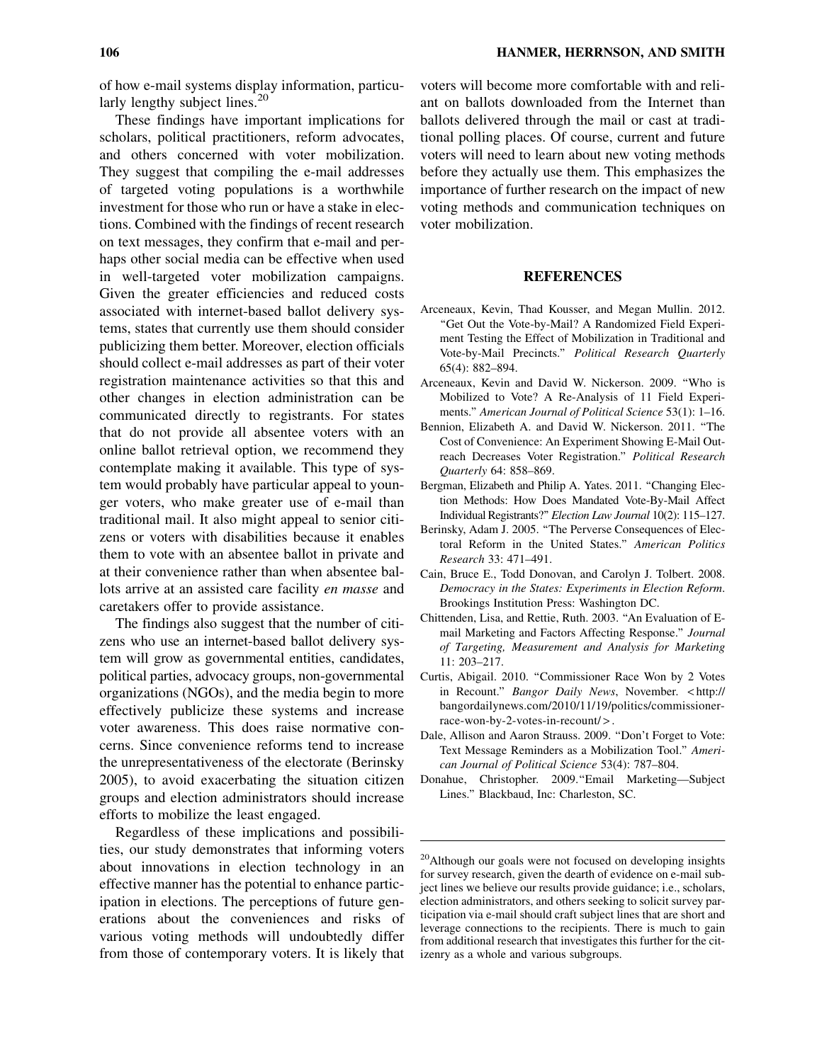of how e-mail systems display information, particularly lengthy subject lines. $^{20}$ 

These findings have important implications for scholars, political practitioners, reform advocates, and others concerned with voter mobilization. They suggest that compiling the e-mail addresses of targeted voting populations is a worthwhile investment for those who run or have a stake in elections. Combined with the findings of recent research on text messages, they confirm that e-mail and perhaps other social media can be effective when used in well-targeted voter mobilization campaigns. Given the greater efficiencies and reduced costs associated with internet-based ballot delivery systems, states that currently use them should consider publicizing them better. Moreover, election officials should collect e-mail addresses as part of their voter registration maintenance activities so that this and other changes in election administration can be communicated directly to registrants. For states that do not provide all absentee voters with an online ballot retrieval option, we recommend they contemplate making it available. This type of system would probably have particular appeal to younger voters, who make greater use of e-mail than traditional mail. It also might appeal to senior citizens or voters with disabilities because it enables them to vote with an absentee ballot in private and at their convenience rather than when absentee ballots arrive at an assisted care facility en masse and caretakers offer to provide assistance.

The findings also suggest that the number of citizens who use an internet-based ballot delivery system will grow as governmental entities, candidates, political parties, advocacy groups, non-governmental organizations (NGOs), and the media begin to more effectively publicize these systems and increase voter awareness. This does raise normative concerns. Since convenience reforms tend to increase the unrepresentativeness of the electorate (Berinsky 2005), to avoid exacerbating the situation citizen groups and election administrators should increase efforts to mobilize the least engaged.

Regardless of these implications and possibilities, our study demonstrates that informing voters about innovations in election technology in an effective manner has the potential to enhance participation in elections. The perceptions of future generations about the conveniences and risks of various voting methods will undoubtedly differ from those of contemporary voters. It is likely that voters will become more comfortable with and reliant on ballots downloaded from the Internet than ballots delivered through the mail or cast at traditional polling places. Of course, current and future voters will need to learn about new voting methods before they actually use them. This emphasizes the importance of further research on the impact of new voting methods and communication techniques on voter mobilization.

#### REFERENCES

- Arceneaux, Kevin, Thad Kousser, and Megan Mullin. 2012. "Get Out the Vote-by-Mail? A Randomized Field Experiment Testing the Effect of Mobilization in Traditional and Vote-by-Mail Precincts.'' Political Research Quarterly 65(4): 882–894.
- Arceneaux, Kevin and David W. Nickerson. 2009. ''Who is Mobilized to Vote? A Re-Analysis of 11 Field Experiments.'' American Journal of Political Science 53(1): 1–16.
- Bennion, Elizabeth A. and David W. Nickerson. 2011. ''The Cost of Convenience: An Experiment Showing E-Mail Outreach Decreases Voter Registration.'' Political Research Quarterly 64: 858–869.
- Bergman, Elizabeth and Philip A. Yates. 2011. "Changing Election Methods: How Does Mandated Vote-By-Mail Affect Individual Registrants?''Election Law Journal 10(2): 115–127.
- Berinsky, Adam J. 2005. ''The Perverse Consequences of Electoral Reform in the United States.'' American Politics Research 33: 471–491.
- Cain, Bruce E., Todd Donovan, and Carolyn J. Tolbert. 2008. Democracy in the States: Experiments in Election Reform. Brookings Institution Press: Washington DC.
- Chittenden, Lisa, and Rettie, Ruth. 2003. ''An Evaluation of Email Marketing and Factors Affecting Response.'' Journal of Targeting, Measurement and Analysis for Marketing 11: 203–217.
- Curtis, Abigail. 2010. ''Commissioner Race Won by 2 Votes in Recount.'' Bangor Daily News, November. < http:// bangordailynews.com/2010/11/19/politics/commissionerrace-won-by-2-votes-in-recount/>.
- Dale, Allison and Aaron Strauss. 2009. ''Don't Forget to Vote: Text Message Reminders as a Mobilization Tool.'' American Journal of Political Science 53(4): 787–804.
- Donahue, Christopher. 2009.''Email Marketing—Subject Lines.'' Blackbaud, Inc: Charleston, SC.

<sup>&</sup>lt;sup>20</sup>Although our goals were not focused on developing insights for survey research, given the dearth of evidence on e-mail subject lines we believe our results provide guidance; i.e., scholars, election administrators, and others seeking to solicit survey participation via e-mail should craft subject lines that are short and leverage connections to the recipients. There is much to gain from additional research that investigates this further for the citizenry as a whole and various subgroups.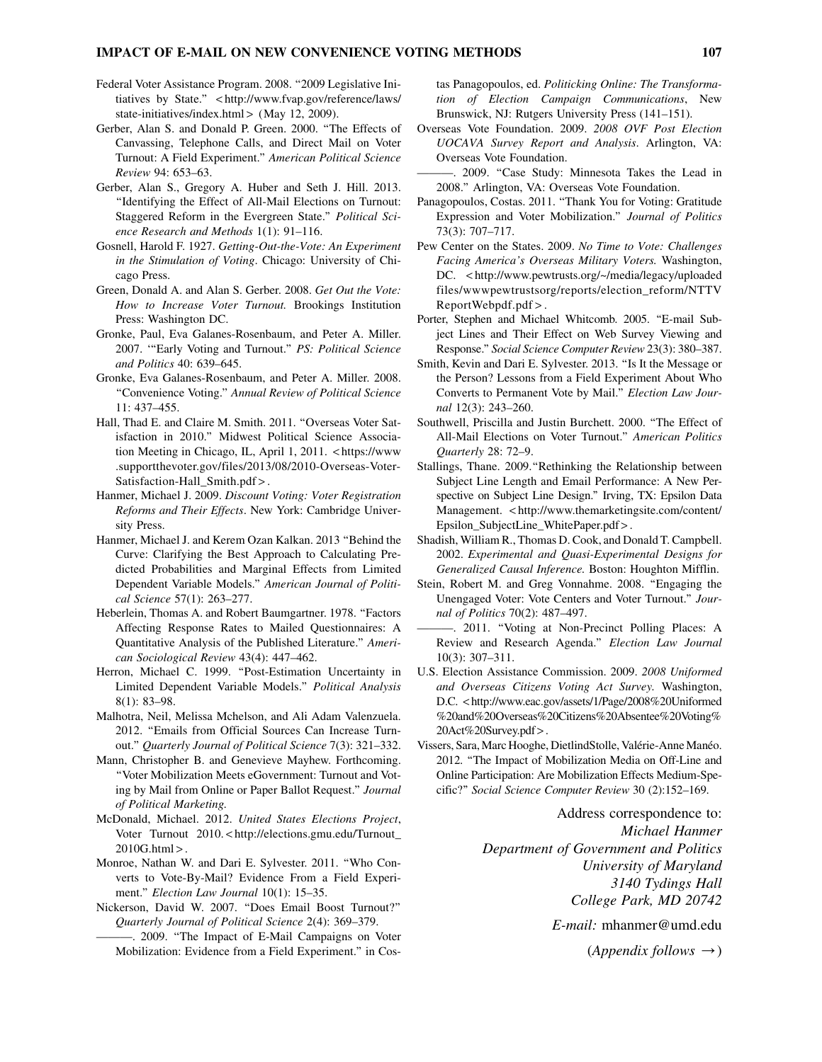- Federal Voter Assistance Program. 2008. ''2009 Legislative Initiatives by State.'' < http://www.fvap.gov/reference/laws/ state-initiatives/index.html > (May 12, 2009).
- Gerber, Alan S. and Donald P. Green. 2000. ''The Effects of Canvassing, Telephone Calls, and Direct Mail on Voter Turnout: A Field Experiment.'' American Political Science Review 94: 653–63.
- Gerber, Alan S., Gregory A. Huber and Seth J. Hill. 2013. ''Identifying the Effect of All-Mail Elections on Turnout: Staggered Reform in the Evergreen State.'' Political Science Research and Methods 1(1): 91–116.
- Gosnell, Harold F. 1927. Getting-Out-the-Vote: An Experiment in the Stimulation of Voting. Chicago: University of Chicago Press.
- Green, Donald A. and Alan S. Gerber. 2008. Get Out the Vote: How to Increase Voter Turnout. Brookings Institution Press: Washington DC.
- Gronke, Paul, Eva Galanes-Rosenbaum, and Peter A. Miller. 2007. '''Early Voting and Turnout.'' PS: Political Science and Politics 40: 639–645.
- Gronke, Eva Galanes-Rosenbaum, and Peter A. Miller. 2008. ''Convenience Voting.'' Annual Review of Political Science 11: 437–455.
- Hall, Thad E. and Claire M. Smith. 2011. ''Overseas Voter Satisfaction in 2010.'' Midwest Political Science Association Meeting in Chicago, IL, April 1, 2011. < https://www .supportthevoter.gov/files/2013/08/2010-Overseas-Voter-Satisfaction-Hall\_Smith.pdf>.
- Hanmer, Michael J. 2009. Discount Voting: Voter Registration Reforms and Their Effects. New York: Cambridge University Press.
- Hanmer, Michael J. and Kerem Ozan Kalkan. 2013 ''Behind the Curve: Clarifying the Best Approach to Calculating Predicted Probabilities and Marginal Effects from Limited Dependent Variable Models.'' American Journal of Political Science 57(1): 263–277.
- Heberlein, Thomas A. and Robert Baumgartner. 1978. "Factors Affecting Response Rates to Mailed Questionnaires: A Quantitative Analysis of the Published Literature.'' American Sociological Review 43(4): 447–462.
- Herron, Michael C. 1999. "Post-Estimation Uncertainty in Limited Dependent Variable Models.'' Political Analysis 8(1): 83–98.
- Malhotra, Neil, Melissa Mchelson, and Ali Adam Valenzuela. 2012. ''Emails from Official Sources Can Increase Turnout.'' Quarterly Journal of Political Science 7(3): 321–332.
- Mann, Christopher B. and Genevieve Mayhew. Forthcoming. ''Voter Mobilization Meets eGovernment: Turnout and Voting by Mail from Online or Paper Ballot Request.'' Journal of Political Marketing.
- McDonald, Michael. 2012. United States Elections Project, Voter Turnout 2010. < http://elections.gmu.edu/Turnout\_ 2010G.html > .
- Monroe, Nathan W. and Dari E. Sylvester. 2011. ''Who Converts to Vote-By-Mail? Evidence From a Field Experiment." Election Law Journal 10(1): 15-35.
- Nickerson, David W. 2007. ''Does Email Boost Turnout?'' Quarterly Journal of Political Science 2(4): 369–379.
	- -. 2009. "The Impact of E-Mail Campaigns on Voter Mobilization: Evidence from a Field Experiment.'' in Cos-

tas Panagopoulos, ed. Politicking Online: The Transformation of Election Campaign Communications, New Brunswick, NJ: Rutgers University Press (141–151).

- Overseas Vote Foundation. 2009. 2008 OVF Post Election UOCAVA Survey Report and Analysis. Arlington, VA: Overseas Vote Foundation.
	- ———. 2009. ''Case Study: Minnesota Takes the Lead in 2008.'' Arlington, VA: Overseas Vote Foundation.
- Panagopoulos, Costas. 2011. ''Thank You for Voting: Gratitude Expression and Voter Mobilization.'' Journal of Politics 73(3): 707–717.
- Pew Center on the States. 2009. No Time to Vote: Challenges Facing America's Overseas Military Voters. Washington, DC. < http://www.pewtrusts.org/~/media/legacy/uploaded files/wwwpewtrustsorg/reports/election\_reform/NTTV ReportWebpdf.pdf > .
- Porter, Stephen and Michael Whitcomb. 2005. ''E-mail Subject Lines and Their Effect on Web Survey Viewing and Response.'' Social Science Computer Review 23(3): 380–387.
- Smith, Kevin and Dari E. Sylvester. 2013. ''Is It the Message or the Person? Lessons from a Field Experiment About Who Converts to Permanent Vote by Mail.'' Election Law Journal 12(3): 243–260.
- Southwell, Priscilla and Justin Burchett. 2000. ''The Effect of All-Mail Elections on Voter Turnout.'' American Politics Quarterly 28: 72–9.
- Stallings, Thane. 2009.''Rethinking the Relationship between Subject Line Length and Email Performance: A New Perspective on Subject Line Design.'' Irving, TX: Epsilon Data Management. < http://www.themarketingsite.com/content/ Epsilon\_SubjectLine\_WhitePaper.pdf > .
- Shadish, William R., Thomas D. Cook, and Donald T. Campbell. 2002. Experimental and Quasi-Experimental Designs for Generalized Causal Inference. Boston: Houghton Mifflin.
- Stein, Robert M. and Greg Vonnahme. 2008. ''Engaging the Unengaged Voter: Vote Centers and Voter Turnout.'' Journal of Politics 70(2): 487–497.
- -. 2011. "Voting at Non-Precinct Polling Places: A Review and Research Agenda.'' Election Law Journal 10(3): 307–311.
- U.S. Election Assistance Commission. 2009. 2008 Uniformed and Overseas Citizens Voting Act Survey. Washington, D.C. < http://www.eac.gov/assets/1/Page/2008%20Uniformed %20and%20Overseas%20Citizens%20Absentee%20Voting% 20Act%20Survey.pdf > .
- Vissers, Sara, Marc Hooghe, DietlindStolle, Valérie-Anne Manéo. 2012. ''The Impact of Mobilization Media on Off-Line and Online Participation: Are Mobilization Effects Medium-Specific?'' Social Science Computer Review 30 (2):152–169.

Address correspondence to: Michael Hanmer Department of Government and Politics University of Maryland 3140 Tydings Hall College Park, MD 20742

E-mail: mhanmer@umd.edu

(Appendix follows  $\rightarrow$ )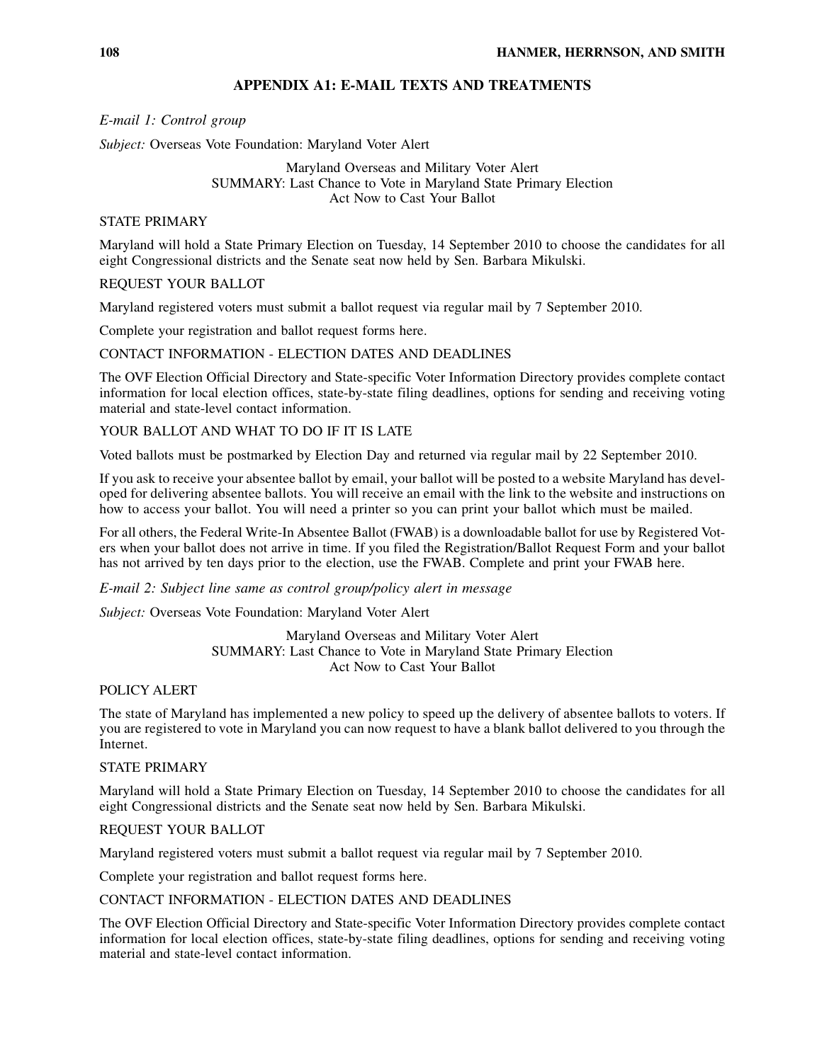## APPENDIX A1: E-MAIL TEXTS AND TREATMENTS

E-mail 1: Control group

Subject: Overseas Vote Foundation: Maryland Voter Alert

Maryland Overseas and Military Voter Alert SUMMARY: Last Chance to Vote in Maryland State Primary Election Act Now to Cast Your Ballot

## STATE PRIMARY

Maryland will hold a State Primary Election on Tuesday, 14 September 2010 to choose the candidates for all eight Congressional districts and the Senate seat now held by Sen. Barbara Mikulski.

#### REQUEST YOUR BALLOT

Maryland registered voters must submit a ballot request via regular mail by 7 September 2010.

Complete your registration and ballot request forms here.

### CONTACT INFORMATION - ELECTION DATES AND DEADLINES

The OVF Election Official Directory and State-specific Voter Information Directory provides complete contact information for local election offices, state-by-state filing deadlines, options for sending and receiving voting material and state-level contact information.

### YOUR BALLOT AND WHAT TO DO IF IT IS LATE

Voted ballots must be postmarked by Election Day and returned via regular mail by 22 September 2010.

If you ask to receive your absentee ballot by email, your ballot will be posted to a website Maryland has developed for delivering absentee ballots. You will receive an email with the link to the website and instructions on how to access your ballot. You will need a printer so you can print your ballot which must be mailed.

For all others, the Federal Write-In Absentee Ballot (FWAB) is a downloadable ballot for use by Registered Voters when your ballot does not arrive in time. If you filed the Registration/Ballot Request Form and your ballot has not arrived by ten days prior to the election, use the FWAB. Complete and print your FWAB here.

E-mail 2: Subject line same as control group/policy alert in message

Subject: Overseas Vote Foundation: Maryland Voter Alert

### Maryland Overseas and Military Voter Alert SUMMARY: Last Chance to Vote in Maryland State Primary Election Act Now to Cast Your Ballot

### POLICY ALERT

The state of Maryland has implemented a new policy to speed up the delivery of absentee ballots to voters. If you are registered to vote in Maryland you can now request to have a blank ballot delivered to you through the Internet.

#### STATE PRIMARY

Maryland will hold a State Primary Election on Tuesday, 14 September 2010 to choose the candidates for all eight Congressional districts and the Senate seat now held by Sen. Barbara Mikulski.

#### REQUEST YOUR BALLOT

Maryland registered voters must submit a ballot request via regular mail by 7 September 2010.

Complete your registration and ballot request forms here.

#### CONTACT INFORMATION - ELECTION DATES AND DEADLINES

The OVF Election Official Directory and State-specific Voter Information Directory provides complete contact information for local election offices, state-by-state filing deadlines, options for sending and receiving voting material and state-level contact information.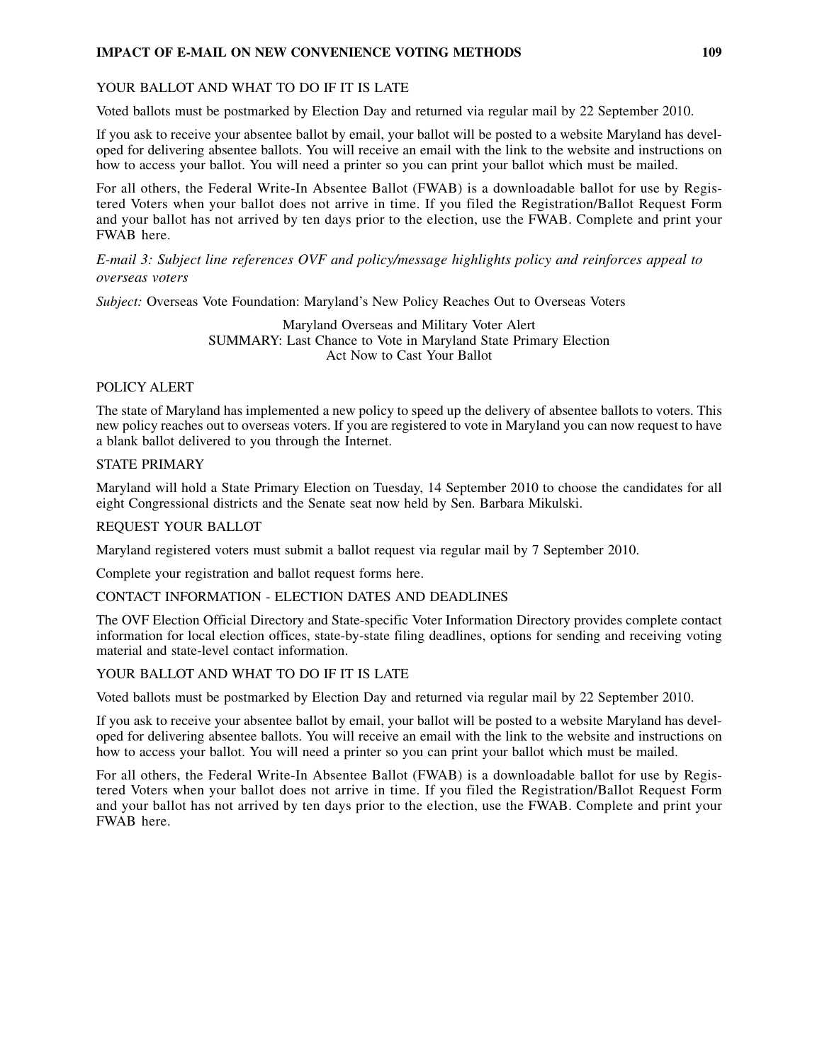#### IMPACT OF E-MAIL ON NEW CONVENIENCE VOTING METHODS 109

## YOUR BALLOT AND WHAT TO DO IF IT IS LATE

Voted ballots must be postmarked by Election Day and returned via regular mail by 22 September 2010.

If you ask to receive your absentee ballot by email, your ballot will be posted to a website Maryland has developed for delivering absentee ballots. You will receive an email with the link to the website and instructions on how to access your ballot. You will need a printer so you can print your ballot which must be mailed.

For all others, the Federal Write-In Absentee Ballot (FWAB) is a downloadable ballot for use by Registered Voters when your ballot does not arrive in time. If you filed the Registration/Ballot Request Form and your ballot has not arrived by ten days prior to the election, use the FWAB. Complete and print your FWAB here.

## E-mail 3: Subject line references OVF and policy/message highlights policy and reinforces appeal to overseas voters

Subject: Overseas Vote Foundation: Maryland's New Policy Reaches Out to Overseas Voters

Maryland Overseas and Military Voter Alert SUMMARY: Last Chance to Vote in Maryland State Primary Election Act Now to Cast Your Ballot

## POLICY ALERT

The state of Maryland has implemented a new policy to speed up the delivery of absentee ballots to voters. This new policy reaches out to overseas voters. If you are registered to vote in Maryland you can now request to have a blank ballot delivered to you through the Internet.

## STATE PRIMARY

Maryland will hold a State Primary Election on Tuesday, 14 September 2010 to choose the candidates for all eight Congressional districts and the Senate seat now held by Sen. Barbara Mikulski.

#### REQUEST YOUR BALLOT

Maryland registered voters must submit a ballot request via regular mail by 7 September 2010.

Complete your registration and ballot request forms here.

## CONTACT INFORMATION - ELECTION DATES AND DEADLINES

The OVF Election Official Directory and State-specific Voter Information Directory provides complete contact information for local election offices, state-by-state filing deadlines, options for sending and receiving voting material and state-level contact information.

#### YOUR BALLOT AND WHAT TO DO IF IT IS LATE

Voted ballots must be postmarked by Election Day and returned via regular mail by 22 September 2010.

If you ask to receive your absentee ballot by email, your ballot will be posted to a website Maryland has developed for delivering absentee ballots. You will receive an email with the link to the website and instructions on how to access your ballot. You will need a printer so you can print your ballot which must be mailed.

For all others, the Federal Write-In Absentee Ballot (FWAB) is a downloadable ballot for use by Registered Voters when your ballot does not arrive in time. If you filed the Registration/Ballot Request Form and your ballot has not arrived by ten days prior to the election, use the FWAB. Complete and print your FWAB here.